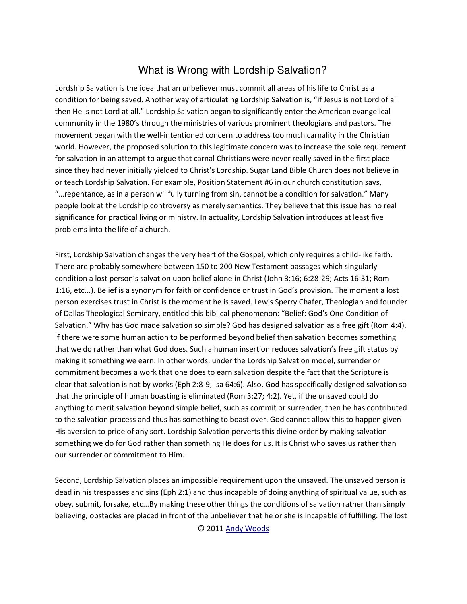## What is Wrong with Lordship Salvation?

Lordship Salvation is the idea that an unbeliever must commit all areas of his life to Christ as a condition for being saved. Another way of articulating Lordship Salvation is, "if Jesus is not Lord of all then He is not Lord at all." Lordship Salvation began to significantly enter the American evangelical community in the 1980's through the ministries of various prominent theologians and pastors. The movement began with the well-intentioned concern to address too much carnality in the Christian world. However, the proposed solution to this legitimate concern was to increase the sole requirement for salvation in an attempt to argue that carnal Christians were never really saved in the first place since they had never initially yielded to Christ's Lordship. Sugar Land Bible Church does not believe in or teach Lordship Salvation. For example, Position Statement #6 in our church constitution says, "... repentance, as in a person willfully turning from sin, cannot be a condition for salvation." Many people look at the Lordship controversy as merely semantics. They believe that this issue has no real significance for practical living or ministry. In actuality, Lordship Salvation introduces at least five problems into the life of a church.

First, Lordship Salvation changes the very heart of the Gospel, which only requires a child-like faith. There are probably somewhere between 150 to 200 New Testament passages which singularly condition a lost person's salvation upon belief alone in Christ (John 3:16; 6:28-29; Acts 16:31; Rom 1:16, etc...). Belief is a synonym for faith or confidence or trust in God's provision. The moment a lost person exercises trust in Christ is the moment he is saved. Lewis Sperry Chafer, Theologian and founder of Dallas Theological Seminary, entitled this biblical phenomenon: "Belief: God's One Condition of Salvation." Why has God made salvation so simple? God has designed salvation as a free gift (Rom 4:4). If there were some human action to be performed beyond belief then salvation becomes something that we do rather than what God does. Such a human insertion reduces salvation's free gift status by making it something we earn. In other words, under the Lordship Salvation model, surrender or commitment becomes a work that one does to earn salvation despite the fact that the Scripture is clear that salvation is not by works (Eph 2:8-9; Isa 64:6). Also, God has specifically designed salvation so that the principle of human boasting is eliminated (Rom 3:27; 4:2). Yet, if the unsaved could do anything to merit salvation beyond simple belief, such as commit or surrender, then he has contributed to the salvation process and thus has something to boast over. God cannot allow this to happen given His aversion to pride of any sort. Lordship Salvation perverts this divine order by making salvation something we do for God rather than something He does for us. It is Christ who saves us rather than our surrender or commitment to Him.

Second, Lordship Salvation places an impossible requirement upon the unsaved. The unsaved person is dead in his trespasses and sins (Eph 2:1) and thus incapable of doing anything of spiritual value, such as obey, submit, forsake, etc...By making these other things the conditions of salvation rather than simply believing, obstacles are placed in front of the unbeliever that he or she is incapable of fulfilling. The lost

© 2011 Andy Woods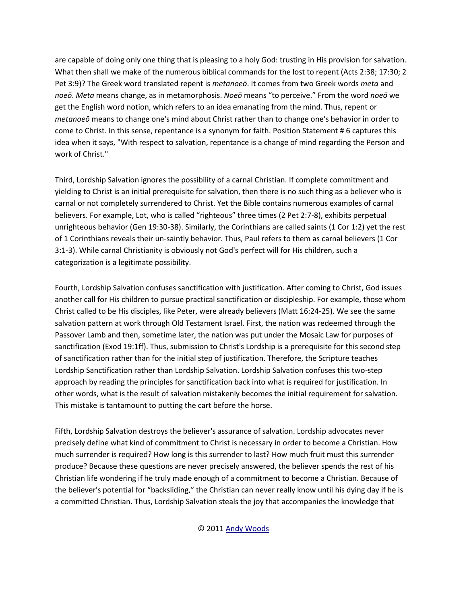are capable of doing only one thing that is pleasing to a holy God: trusting in His provision for salvation. What then shall we make of the numerous biblical commands for the lost to repent (Acts 2:38; 17:30; 2 Pet 3:9)? The Greek word translated repent is metanoeo. It comes from two Greek words meta and noeō. Meta means change, as in metamorphosis. Noeō means "to perceive." From the word noeō we get the English word notion, which refers to an idea emanating from the mind. Thus, repent or *metanoeo* means to change one's mind about Christ rather than to change one's behavior in order to come to Christ. In this sense, repentance is a synonym for faith. Position Statement #6 captures this idea when it says, "With respect to salvation, repentance is a change of mind regarding the Person and work of Christ."

Third, Lordship Salvation ignores the possibility of a carnal Christian. If complete commitment and yielding to Christ is an initial prerequisite for salvation, then there is no such thing as a believer who is carnal or not completely surrendered to Christ. Yet the Bible contains numerous examples of carnal believers. For example, Lot, who is called "righteous" three times (2 Pet 2:7-8), exhibits perpetual unrighteous behavior (Gen 19:30-38). Similarly, the Corinthians are called saints (1 Cor 1:2) yet the rest of 1 Corinthians reveals their un-saintly behavior. Thus, Paul refers to them as carnal believers (1 Cor 3:1-3). While carnal Christianity is obviously not God's perfect will for His children, such a categorization is a legitimate possibility.

Fourth, Lordship Salvation confuses sanctification with justification. After coming to Christ, God issues another call for His children to pursue practical sanctification or discipleship. For example, those whom Christ called to be His disciples, like Peter, were already believers (Matt 16:24-25). We see the same salvation pattern at work through Old Testament Israel. First, the nation was redeemed through the Passover Lamb and then, sometime later, the nation was put under the Mosaic Law for purposes of sanctification (Exod 19:1ff). Thus, submission to Christ's Lordship is a prerequisite for this second step of sanctification rather than for the initial step of justification. Therefore, the Scripture teaches Lordship Sanctification rather than Lordship Salvation. Lordship Salvation confuses this two-step approach by reading the principles for sanctification back into what is required for justification. In other words, what is the result of salvation mistakenly becomes the initial requirement for salvation. This mistake is tantamount to putting the cart before the horse.

Fifth, Lordship Salvation destroys the believer's assurance of salvation. Lordship advocates never precisely define what kind of commitment to Christ is necessary in order to become a Christian. How much surrender is required? How long is this surrender to last? How much fruit must this surrender produce? Because these questions are never precisely answered, the believer spends the rest of his Christian life wondering if he truly made enough of a commitment to become a Christian. Because of the believer's potential for "backsliding," the Christian can never really know until his dying day if he is a committed Christian. Thus, Lordship Salvation steals the joy that accompanies the knowledge that

© 2011 Andy Woods